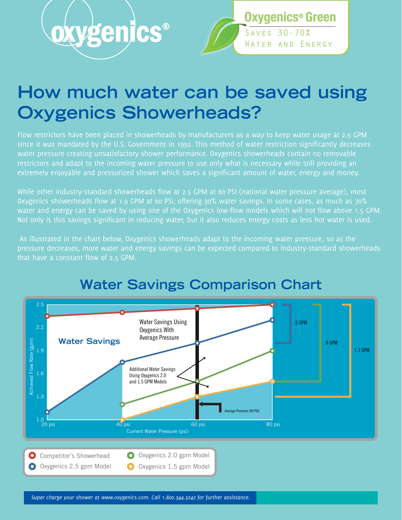



## **How much water can be saved using Oxygenics Showerheads?**

Flow restrictors have been placed in showerheads by manufacturers as a way to keep water usage at 2.5 GPM since it was mandated by the U.S. Government in 1992. This method of water restriction significantly decreases water pressure creating unsatisfactory shower performance. Oxygenics showerheads contain no removable restrictors and adapt to the incoming water pressure to use only what is necessary while still providing an extremely enjoyable and pressurized shower which saves a significant amount of water, energy and money.

While other industry-standard showerheads flow at 2.5 GPM at 60 PSI (national water pressure average), most Oxygenics showerheads flow at 1.9 GPM at 60 PSI, offering 30% water savings. In some cases, as much as 70% water and energy can be saved by using one of the Oxygenics low-flow models which will not flow above 1.5 GPM. Not only is this savings significant in reducing water, but it also reduces energy costs as less hot water is used.

 As illustrated in the chart below, Oxygenics showerheads adapt to the incoming water pressure, so as the pressure decreases, more water and energy savings can be expected compared to industry-standard showerheads that have a constant flow of 2.5 GPM.



## **Water Savings Comparison Chart**